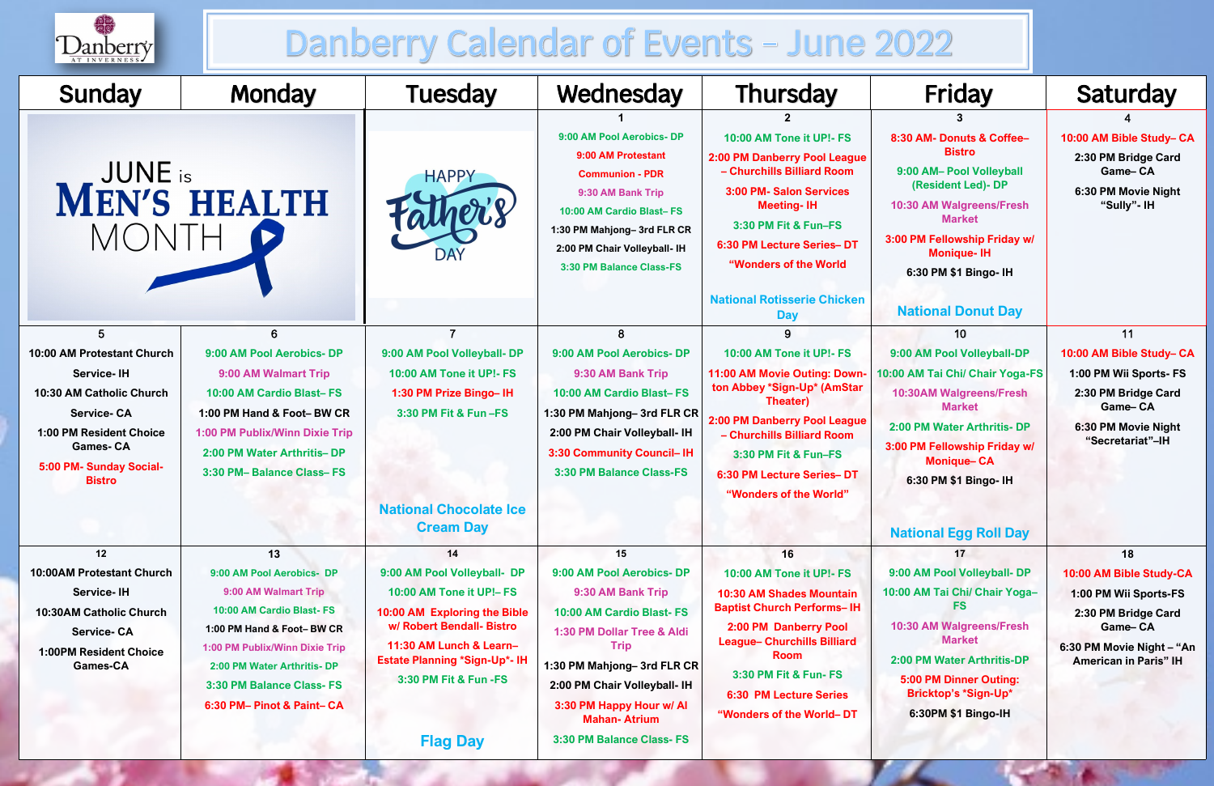

# Danberry Calendar of Events - June 2022

## **National Donut Day**

#### 4

#### **10:00 AM Bible Study– CA**

| Sunday                                                                                                                                                                                     | <b>Monday</b>                                                                                                                                                                                                                                | <b>Tuesday</b>                                                                                                                                                                                                         | Wednesday                                                                                                                                                                                                                                      | <b>Thursday</b>                                                                                                                                                                                                                                                            | <b>Friday</b>                                                                                                                                                                                                                                                                     | <b>Saturday</b>                                                                                                                                    |
|--------------------------------------------------------------------------------------------------------------------------------------------------------------------------------------------|----------------------------------------------------------------------------------------------------------------------------------------------------------------------------------------------------------------------------------------------|------------------------------------------------------------------------------------------------------------------------------------------------------------------------------------------------------------------------|------------------------------------------------------------------------------------------------------------------------------------------------------------------------------------------------------------------------------------------------|----------------------------------------------------------------------------------------------------------------------------------------------------------------------------------------------------------------------------------------------------------------------------|-----------------------------------------------------------------------------------------------------------------------------------------------------------------------------------------------------------------------------------------------------------------------------------|----------------------------------------------------------------------------------------------------------------------------------------------------|
| <b>MEN'S HEALTH</b><br><b>MONTH</b>                                                                                                                                                        |                                                                                                                                                                                                                                              | <b>HAPPY</b><br>DAY                                                                                                                                                                                                    | 9:00 AM Pool Aerobics- DP<br>9:00 AM Protestant<br><b>Communion - PDR</b><br>9:30 AM Bank Trip<br>10:00 AM Cardio Blast-FS<br>1:30 PM Mahjong-3rd FLR CR<br>2:00 PM Chair Volleyball- IH<br>3:30 PM Balance Class-FS                           | 10:00 AM Tone it UP!- FS<br>2:00 PM Danberry Pool League<br>- Churchills Billiard Room<br>3:00 PM- Salon Services<br><b>Meeting-IH</b><br>3:30 PM Fit & Fun-FS<br>6:30 PM Lecture Series-DT<br>"Wonders of the World                                                       | 8:30 AM- Donuts & Coffee-<br><b>Bistro</b><br>9:00 AM- Pool Volleyball<br>(Resident Led)- DP<br>10:30 AM Walgreens/Fresh<br><b>Market</b><br>3:00 PM Fellowship Friday w/<br><b>Monique-IH</b><br>6:30 PM \$1 Bingo- IH                                                           | 10:00 AM Bible Study- 0<br>2:30 PM Bridge Card<br>Game-CA<br>6:30 PM Movie Night<br>"Sully"- IH                                                    |
|                                                                                                                                                                                            |                                                                                                                                                                                                                                              |                                                                                                                                                                                                                        |                                                                                                                                                                                                                                                | <b>National Rotisserie Chicken</b><br><b>Day</b>                                                                                                                                                                                                                           | <b>National Donut Day</b>                                                                                                                                                                                                                                                         |                                                                                                                                                    |
| 10:00 AM Protestant Church<br><b>Service-IH</b><br>10:30 AM Catholic Church<br><b>Service-CA</b><br>1:00 PM Resident Choice<br><b>Games-CA</b><br>5:00 PM- Sunday Social-<br><b>Bistro</b> | 6.<br>9:00 AM Pool Aerobics- DP<br>9:00 AM Walmart Trip<br>10:00 AM Cardio Blast-FS<br>1:00 PM Hand & Foot-BW CR<br>1:00 PM Publix/Winn Dixie Trip<br>2:00 PM Water Arthritis-DP<br>3:30 PM- Balance Class-FS                                | 9:00 AM Pool Volleyball- DP<br>10:00 AM Tone it UP!- FS<br>1:30 PM Prize Bingo-IH<br>3:30 PM Fit & Fun -FS<br><b>National Chocolate Ice</b><br><b>Cream Day</b>                                                        | 8<br>9:00 AM Pool Aerobics- DP<br>9:30 AM Bank Trip<br>10:00 AM Cardio Blast-FS<br>1:30 PM Mahjong-3rd FLR CR<br>2:00 PM Chair Volleyball- IH<br>3:30 Community Council-IH<br>3:30 PM Balance Class-FS                                         | 9<br>10:00 AM Tone it UP!- FS<br>11:00 AM Movie Outing: Down-<br>ton Abbey *Sign-Up* (AmStar<br><b>Theater)</b><br>2:00 PM Danberry Pool League<br>- Churchills Billiard Room<br>3:30 PM Fit & Fun-FS<br>6:30 PM Lecture Series-DT<br>"Wonders of the World"               | 10<br>9:00 AM Pool Volleyball-DP<br>10:00 AM Tai Chi/ Chair Yoga-FS<br><b>10:30AM Walgreens/Fresh</b><br><b>Market</b><br>2:00 PM Water Arthritis- DP<br>3:00 PM Fellowship Friday w/<br><b>Monique-CA</b><br>6:30 PM \$1 Bingo- IH                                               | 11<br>10:00 AM Bible Study-<br>1:00 PM Wii Sports- F!<br>2:30 PM Bridge Card<br><b>Game-CA</b><br>6:30 PM Movie Night<br>"Secretariat"-IH          |
| 12<br><b>10:00AM Protestant Church</b><br><b>Service-IH</b><br>10:30AM Catholic Church<br><b>Service-CA</b><br><b>1:00PM Resident Choice</b><br><b>Games-CA</b>                            | 13<br>9:00 AM Pool Aerobics- DP<br>9:00 AM Walmart Trip<br>10:00 AM Cardio Blast-FS<br>1:00 PM Hand & Foot-BW CR<br>1:00 PM Publix/Winn Dixie Trip<br>2:00 PM Water Arthritis- DP<br>3:30 PM Balance Class- FS<br>6:30 PM- Pinot & Paint- CA | 14<br>9:00 AM Pool Volleyball- DP<br>10:00 AM Tone it UP!- FS<br>10:00 AM Exploring the Bible<br>w/ Robert Bendall- Bistro<br>11:30 AM Lunch & Learn-<br><b>Estate Planning *Sign-Up*- IH</b><br>3:30 PM Fit & Fun -FS | 15<br>9:00 AM Pool Aerobics- DP<br>9:30 AM Bank Trip<br>10:00 AM Cardio Blast-FS<br>1:30 PM Dollar Tree & Aldi<br><b>Trip</b><br>1:30 PM Mahjong-3rd FLR CR<br>2:00 PM Chair Volleyball- IH<br>3:30 PM Happy Hour w/ Al<br><b>Mahan-Atrium</b> | 16<br>10:00 AM Tone it UP!- FS<br><b>10:30 AM Shades Mountain</b><br><b>Baptist Church Performs-IH</b><br>2:00 PM Danberry Pool<br><b>League- Churchills Billiard</b><br><b>Room</b><br>3:30 PM Fit & Fun- FS<br><b>6:30 PM Lecture Series</b><br>"Wonders of the World-DT | <b>National Egg Roll Day</b><br>17<br>9:00 AM Pool Volleyball- DP<br>10:00 AM Tai Chi/ Chair Yoga-<br><b>FS</b><br>10:30 AM Walgreens/Fresh<br><b>Market</b><br>2:00 PM Water Arthritis-DP<br><b>5:00 PM Dinner Outing:</b><br><b>Bricktop's *Sign-Up*</b><br>6:30PM \$1 Bingo-IH | 18<br>10:00 AM Bible Study-C<br>1:00 PM Wii Sports-FS<br>2:30 PM Bridge Card<br>Game-CA<br>6:30 PM Movie Night - "<br><b>American in Paris" IH</b> |
|                                                                                                                                                                                            |                                                                                                                                                                                                                                              | <b>Flag Day</b>                                                                                                                                                                                                        | 3:30 PM Balance Class- FS                                                                                                                                                                                                                      |                                                                                                                                                                                                                                                                            |                                                                                                                                                                                                                                                                                   |                                                                                                                                                    |



## **National Egg Roll Day**

#### 11

#### **10:00 AM Bible Study– CA**

#### **18**

## **10:00 AM Bible Study-CA**

**6:30 PM Movie Night – "An American in Paris" IH**